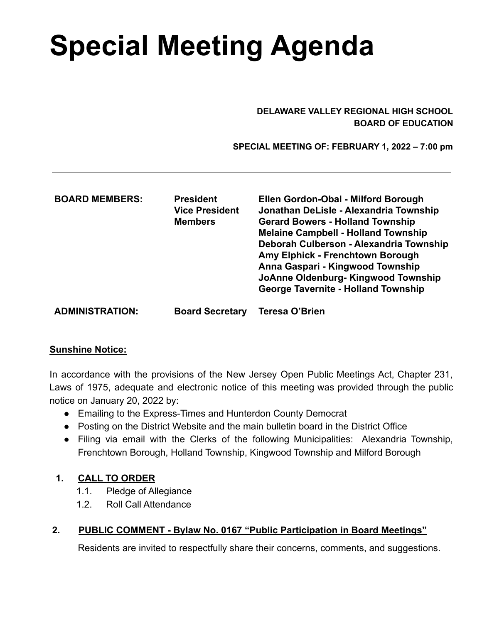# **Special Meeting Agenda**

#### **DELAWARE VALLEY REGIONAL HIGH SCHOOL BOARD OF EDUCATION**

**SPECIAL MEETING OF: FEBRUARY 1, 2022 – 7:00 pm**

| <b>BOARD MEMBERS:</b>  | <b>President</b><br><b>Vice President</b><br><b>Members</b> | Ellen Gordon-Obal - Milford Borough<br>Jonathan DeLisle - Alexandria Township<br><b>Gerard Bowers - Holland Township</b><br><b>Melaine Campbell - Holland Township</b><br>Deborah Culberson - Alexandria Township<br>Amy Elphick - Frenchtown Borough<br>Anna Gaspari - Kingwood Township<br>JoAnne Oldenburg-Kingwood Township<br><b>George Tavernite - Holland Township</b> |
|------------------------|-------------------------------------------------------------|-------------------------------------------------------------------------------------------------------------------------------------------------------------------------------------------------------------------------------------------------------------------------------------------------------------------------------------------------------------------------------|
| <b>ADMINISTRATION:</b> | <b>Board Secretary</b>                                      | <b>Teresa O'Brien</b>                                                                                                                                                                                                                                                                                                                                                         |

#### **Sunshine Notice:**

In accordance with the provisions of the New Jersey Open Public Meetings Act, Chapter 231, Laws of 1975, adequate and electronic notice of this meeting was provided through the public notice on January 20, 2022 by:

- Emailing to the Express-Times and Hunterdon County Democrat
- Posting on the District Website and the main bulletin board in the District Office
- Filing via email with the Clerks of the following Municipalities: Alexandria Township, Frenchtown Borough, Holland Township, Kingwood Township and Milford Borough

## **1. CALL TO ORDER**

- 1.1. Pledge of Allegiance
- 1.2. Roll Call Attendance

## **2. PUBLIC COMMENT - Bylaw No. 0167 "Public Participation in Board Meetings"**

Residents are invited to respectfully share their concerns, comments, and suggestions.